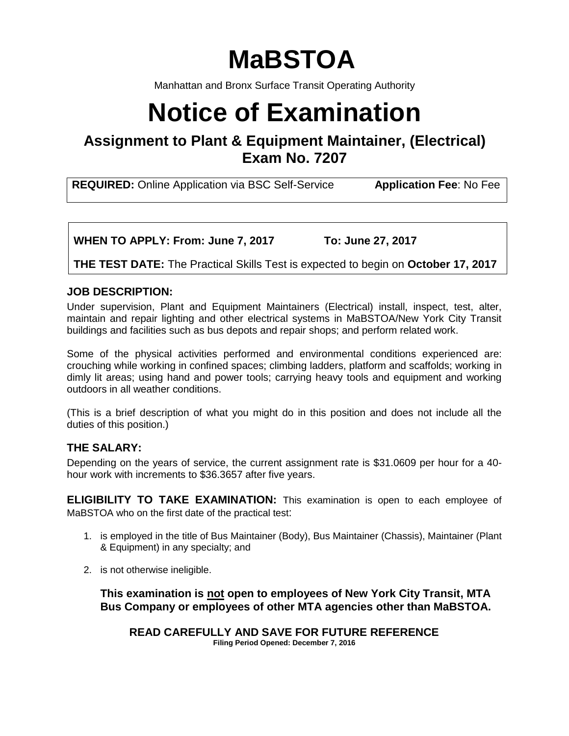# **MaBSTOA**

Manhattan and Bronx Surface Transit Operating Authority

# **Notice of Examination**

# **Assignment to Plant & Equipment Maintainer, (Electrical) Exam No. 7207**

**REQUIRED:** Online Application via BSC Self-Service **Application Fee**: No Fee

**WHEN TO APPLY: From: June 7, 2017 To: June 27, 2017**

**THE TEST DATE:** The Practical Skills Test is expected to begin on **October 17, 2017**

# **JOB DESCRIPTION:**

Under supervision, Plant and Equipment Maintainers (Electrical) install, inspect, test, alter, maintain and repair lighting and other electrical systems in MaBSTOA/New York City Transit buildings and facilities such as bus depots and repair shops; and perform related work.

Some of the physical activities performed and environmental conditions experienced are: crouching while working in confined spaces; climbing ladders, platform and scaffolds; working in dimly lit areas; using hand and power tools; carrying heavy tools and equipment and working outdoors in all weather conditions.

(This is a brief description of what you might do in this position and does not include all the duties of this position.)

# **THE SALARY:**

Depending on the years of service, the current assignment rate is \$31.0609 per hour for a 40 hour work with increments to \$36.3657 after five years.

**ELIGIBILITY TO TAKE EXAMINATION:** This examination is open to each employee of MaBSTOA who on the first date of the practical test:

- 1. is employed in the title of Bus Maintainer (Body), Bus Maintainer (Chassis), Maintainer (Plant & Equipment) in any specialty; and
- 2. is not otherwise ineligible.

**This examination is not open to employees of New York City Transit, MTA Bus Company or employees of other MTA agencies other than MaBSTOA.** 

**READ CAREFULLY AND SAVE FOR FUTURE REFERENCE Filing Period Opened: December 7, 2016**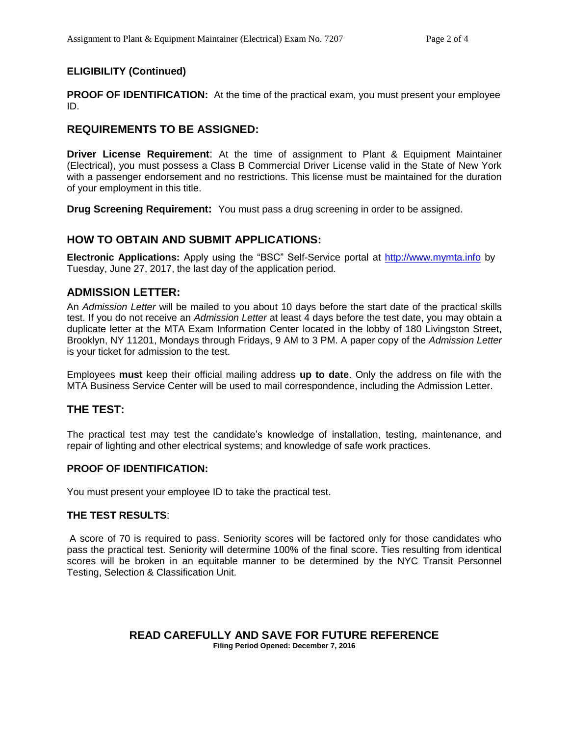# **ELIGIBILITY (Continued)**

**PROOF OF IDENTIFICATION:** At the time of the practical exam, you must present your employee ID.

# **REQUIREMENTS TO BE ASSIGNED:**

**Driver License Requirement**: At the time of assignment to Plant & Equipment Maintainer (Electrical), you must possess a Class B Commercial Driver License valid in the State of New York with a passenger endorsement and no restrictions. This license must be maintained for the duration of your employment in this title.

**Drug Screening Requirement:** You must pass a drug screening in order to be assigned.

# **HOW TO OBTAIN AND SUBMIT APPLICATIONS:**

**Electronic Applications:** Apply using the "BSC" Self-Service portal at [http://www.mymta.info](http://www.mymta.info/) by Tuesday, June 27, 2017, the last day of the application period.

# **ADMISSION LETTER:**

An *Admission Letter* will be mailed to you about 10 days before the start date of the practical skills test. If you do not receive an *Admission Letter* at least 4 days before the test date, you may obtain a duplicate letter at the MTA Exam Information Center located in the lobby of 180 Livingston Street, Brooklyn, NY 11201, Mondays through Fridays, 9 AM to 3 PM. A paper copy of the *Admission Letter* is your ticket for admission to the test.

Employees **must** keep their official mailing address **up to date**. Only the address on file with the MTA Business Service Center will be used to mail correspondence, including the Admission Letter.

# **THE TEST:**

The practical test may test the candidate's knowledge of installation, testing, maintenance, and repair of lighting and other electrical systems; and knowledge of safe work practices.

#### **PROOF OF IDENTIFICATION:**

You must present your employee ID to take the practical test.

#### **THE TEST RESULTS**:

A score of 70 is required to pass. Seniority scores will be factored only for those candidates who pass the practical test. Seniority will determine 100% of the final score. Ties resulting from identical scores will be broken in an equitable manner to be determined by the NYC Transit Personnel Testing, Selection & Classification Unit.

#### **READ CAREFULLY AND SAVE FOR FUTURE REFERENCE Filing Period Opened: December 7, 2016**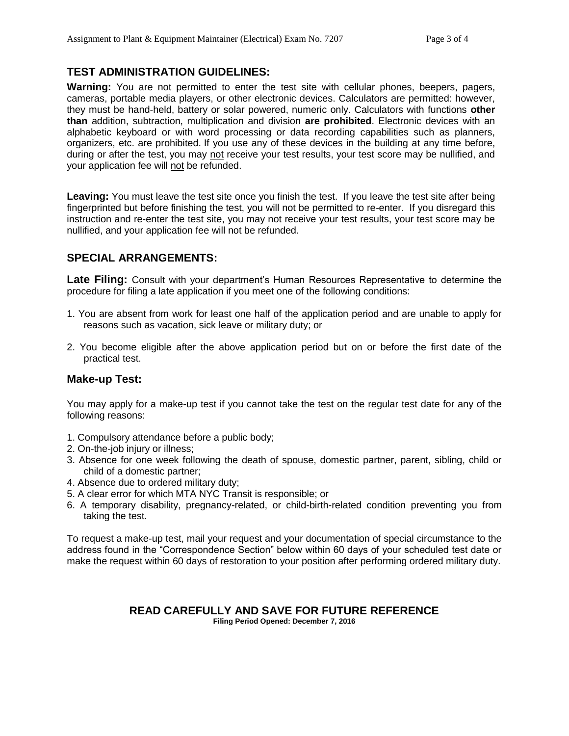# **TEST ADMINISTRATION GUIDELINES:**

**Warning:** You are not permitted to enter the test site with cellular phones, beepers, pagers, cameras, portable media players, or other electronic devices. Calculators are permitted: however, they must be hand-held, battery or solar powered, numeric only. Calculators with functions **other than** addition, subtraction, multiplication and division **are prohibited**. Electronic devices with an alphabetic keyboard or with word processing or data recording capabilities such as planners, organizers, etc. are prohibited. If you use any of these devices in the building at any time before, during or after the test, you may not receive your test results, your test score may be nullified, and your application fee will not be refunded.

**Leaving:** You must leave the test site once you finish the test. If you leave the test site after being fingerprinted but before finishing the test, you will not be permitted to re-enter. If you disregard this instruction and re-enter the test site, you may not receive your test results, your test score may be nullified, and your application fee will not be refunded.

# **SPECIAL ARRANGEMENTS:**

**Late Filing:** Consult with your department's Human Resources Representative to determine the procedure for filing a late application if you meet one of the following conditions:

- 1. You are absent from work for least one half of the application period and are unable to apply for reasons such as vacation, sick leave or military duty; or
- 2. You become eligible after the above application period but on or before the first date of the practical test.

# **Make-up Test:**

You may apply for a make-up test if you cannot take the test on the regular test date for any of the following reasons:

- 1. Compulsory attendance before a public body;
- 2. On-the-job injury or illness;
- 3. Absence for one week following the death of spouse, domestic partner, parent, sibling, child or child of a domestic partner;
- 4. Absence due to ordered military duty;
- 5. A clear error for which MTA NYC Transit is responsible; or
- 6. A temporary disability, pregnancy-related, or child-birth-related condition preventing you from taking the test.

To request a make-up test, mail your request and your documentation of special circumstance to the address found in the "Correspondence Section" below within 60 days of your scheduled test date or make the request within 60 days of restoration to your position after performing ordered military duty.

#### **READ CAREFULLY AND SAVE FOR FUTURE REFERENCE Filing Period Opened: December 7, 2016**